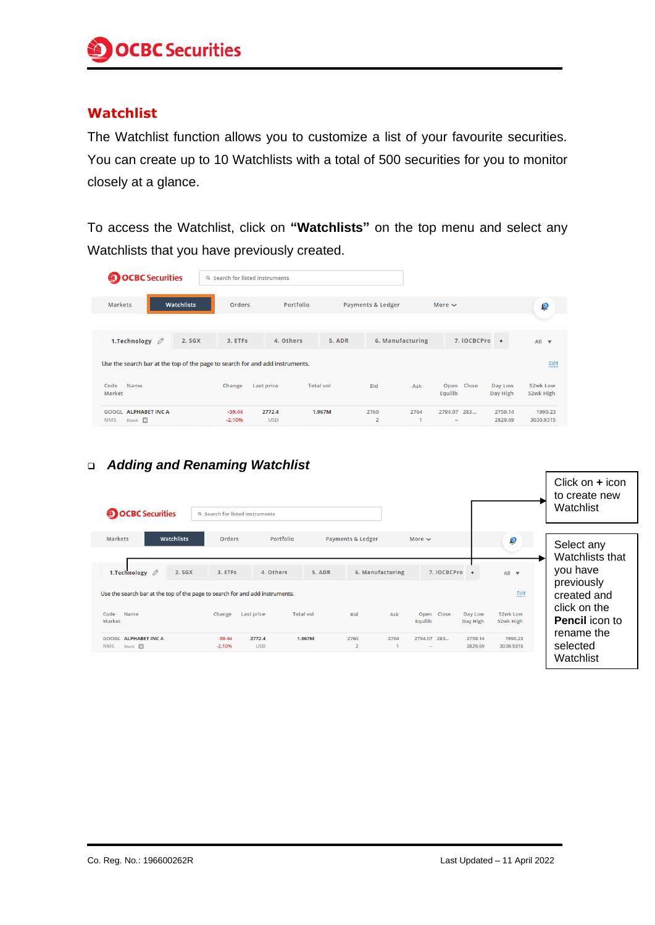## **Watchlist**

The Watchlist function allows you to customize a list of your favourite securities. You can create up to 10 Watchlists with a total of 500 securities for you to monitor closely at a glance.

To access the Watchlist, click on **"Watchlists"** on the top menu and select any Watchlists that you have previously created.

| <b>OCBC</b> Securities                                                                   | Q Search for listed instruments |                      |                                |                        |                          |                     |                       |  |
|------------------------------------------------------------------------------------------|---------------------------------|----------------------|--------------------------------|------------------------|--------------------------|---------------------|-----------------------|--|
| <b>Watchlists</b><br><b>Markets</b>                                                      | <b>Orders</b>                   | Portfolio            | Payments & Ledger              |                        | More $\sim$              |                     | $\mathbf{C}$          |  |
| 1. Technology $\varnothing$<br>2. SGX                                                    | 3. ETFS                         | 4. Others            | 5. ADR                         | 6. Manufacturing       | 7. iOCBCPro +            |                     | All <b>v</b>          |  |
| Fdit<br>Use the search bar at the top of the page to search for and add instruments.<br> |                                 |                      |                                |                        |                          |                     |                       |  |
| Code<br>Name<br>Market                                                                   | Change                          | Last price           | <b>Total vol</b><br><b>Bid</b> | Ask                    | Close<br>Open<br>Equilib | Day Low<br>Day High | 52wk Low<br>52wk High |  |
| <b>ALPHABET INC A</b><br>GOOGL<br><b>NMS</b><br>网<br>Stock                               | $-59.44$<br>$-2.1096$           | 2772.4<br><b>USD</b> | 1.967M<br>2760<br><sup>2</sup> | 2764<br>$\overline{a}$ | 2794.07<br>283           | 2759.14<br>2829.69  | 1990.23<br>3030.9315  |  |

## ❑ *Adding and Renaming Watchlist*

| <b>OCBC</b> Securities                                                       | Q Search for listed instruments |                                       |                                  |                  |                       |                     |                       | Click on $+$ icon<br>to create new<br>Watchlist |
|------------------------------------------------------------------------------|---------------------------------|---------------------------------------|----------------------------------|------------------|-----------------------|---------------------|-----------------------|-------------------------------------------------|
| Watchlists<br>Markets                                                        | <b>Orders</b>                   | Portfolio                             | Payments & Ledger                |                  | More $\sim$           |                     | ė                     | Select any<br>Watchlists that                   |
| 1. Technology $\varnothing$<br>2. SGX                                        | 3. ETFs                         | 4. Others                             | 5. ADR                           | 6. Manufacturing |                       | 7. iOCBCPro<br>$+$  | $All \nabla$          | you have<br>previously                          |
| Use the search bar at the top of the page to search for and add instruments. |                                 |                                       |                                  |                  |                       |                     | Edit<br>              | created and                                     |
| Code<br>Name<br>Market                                                       | Change                          | <b>Total vol</b><br><b>Last price</b> | <b>Bid</b>                       | Ask              | Open Close<br>Equilib | Day Low<br>Day High | 52wk Low<br>52wk High | click on the<br><b>Pencil</b> icon to           |
| <b>GOOGL ALPHABET INC A</b><br><b>NMS</b><br>Stock M                         | $-59.44$<br>$-2.1096$           | 2772.4<br><b>USD</b>                  | 1.967M<br>2760<br>$\overline{2}$ | 2764             | 2794.07 283<br>$\sim$ | 2759.14<br>2829.69  | 1990.23<br>3030.9315  | rename the<br>selected<br>Watchlist             |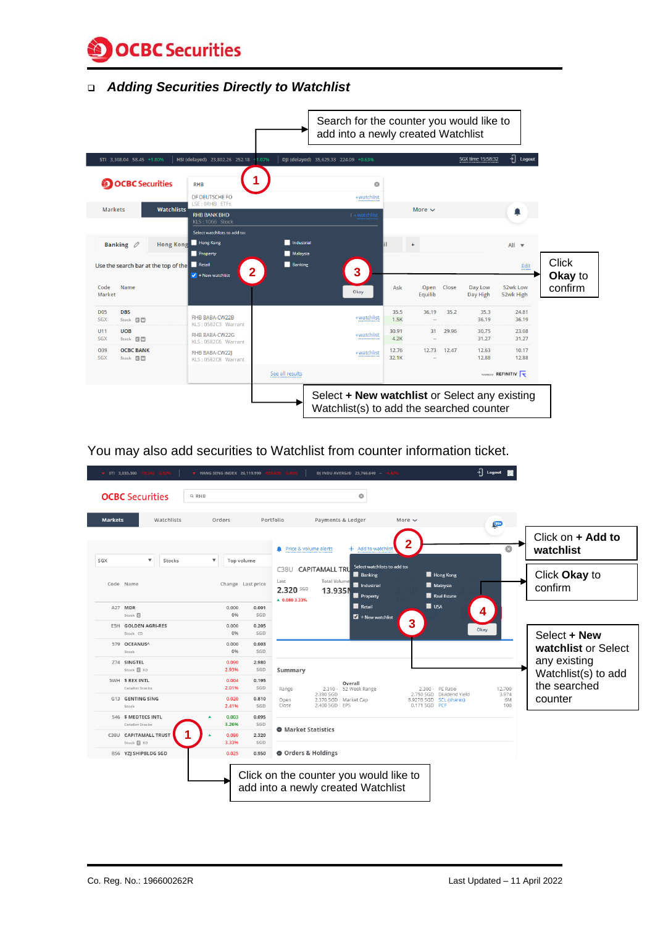**OCBC** Securities

#### ❑ *Adding Securities Directly to Watchlist*



You may also add securities to Watchlist from counter information ticket.

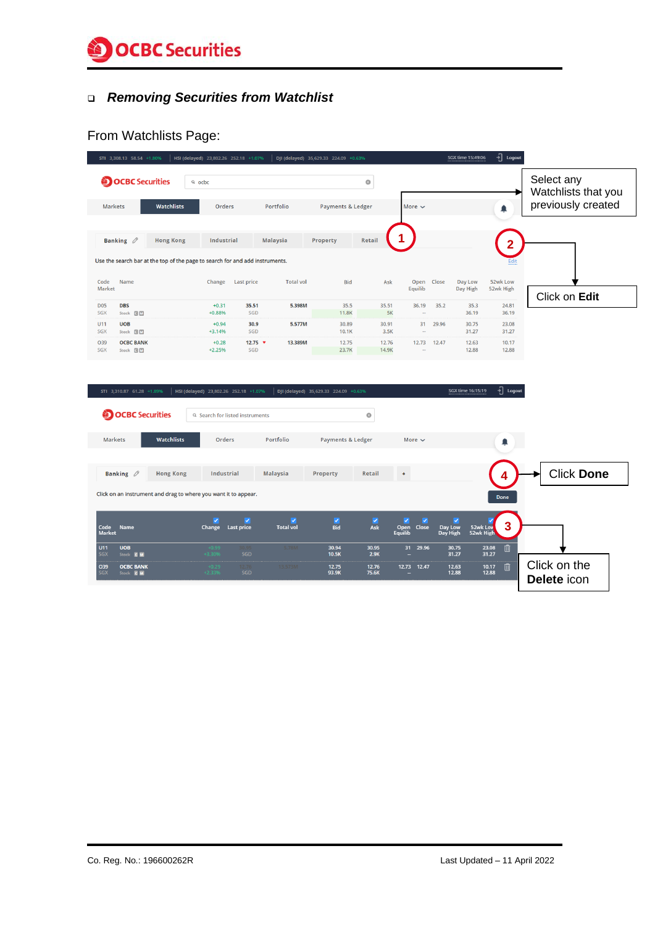

# ❑ *Removing Securities from Watchlist*

# From Watchlists Page:

| STI 3,308.13 58.54 +1.80%                                                    | HSI (delayed) 23,802.26 252.18 +1.07% |                                              | DJI (delayed) 35,629.33 224.09 +0.63% |                                |                                           |                          | $\frac{1}{2}$ Logout<br>SGX time 15:49:06 |                                   |
|------------------------------------------------------------------------------|---------------------------------------|----------------------------------------------|---------------------------------------|--------------------------------|-------------------------------------------|--------------------------|-------------------------------------------|-----------------------------------|
| <b>OCBC</b> Securities                                                       | $Q$ ocbc                              |                                              |                                       | $\circledcirc$                 |                                           |                          |                                           | Select any<br>Watchlists that you |
| <b>Markets</b><br><b>Watchlists</b>                                          | Orders                                | Portfolio                                    | <b>Payments &amp; Ledger</b>          |                                | More $\sim$                               |                          | ▲                                         | previously created                |
|                                                                              |                                       |                                              |                                       |                                |                                           |                          |                                           |                                   |
| Banking $\varnothing$<br><b>Hong Kong</b>                                    | Industrial                            | <b>Malaysia</b>                              | Property                              | <b>Retail</b>                  |                                           |                          |                                           |                                   |
| Use the search bar at the top of the page to search for and add instruments. |                                       |                                              |                                       |                                |                                           |                          |                                           |                                   |
| Name<br>Code<br>Market                                                       | Change<br><b>Last price</b>           | <b>Total vol</b>                             | <b>Bid</b>                            | Ask                            | Open                                      | Close                    | 52wk Low<br>Day Low                       |                                   |
| <b>D05</b><br><b>DBS</b>                                                     | $+0.31$                               | 35.51<br>5.398M                              | 35.5                                  | 35.51                          | Equilib<br>36.19                          | 35.2                     | Day High<br>52wk High<br>24.81<br>35.3    | Click on Edit                     |
| <b>SGX</b><br>Stock <b>BM</b>                                                | $+0.88%$                              | SGD                                          | 11.8K                                 | 5K                             | $\sim$                                    |                          | 36.19<br>36.19                            |                                   |
| U11<br><b>UOB</b><br><b>SGX</b><br>Stock <b>GM</b>                           | $+0.94$<br>$+3.14%$                   | 30.9<br>5.577M<br>SGD                        | 30.89<br>10.1K                        | 30.91<br>3.5K                  | 31                                        | 29.96                    | 30.75<br>23.08<br>31.27<br>31.27          |                                   |
| O39<br><b>OCBC BANK</b><br><b>SGX</b><br>Stock CM                            | $+0.28$<br>$+2.25%$                   | 12.75 $\bullet$<br>13.389M<br>SGD            | 12.75<br>23.7K                        | 12.76<br>14.9K                 | 12.73                                     | 12.47                    | 12.63<br>10.17<br>12.88<br>12.88          |                                   |
|                                                                              |                                       |                                              |                                       |                                |                                           |                          |                                           |                                   |
| STI 3,310.87 61.28 +1.89%                                                    | HSI (delayed) 23,802.26 252.18 +1.07% |                                              | DJI (delayed) 35,629.33 224.09 +0.63% |                                |                                           |                          | $\frac{1}{2}$ Logout<br>SGX time 16:15:19 |                                   |
| <b>OCBC</b> Securities                                                       | Q Search for listed instruments       |                                              |                                       | O                              |                                           |                          |                                           |                                   |
|                                                                              |                                       |                                              |                                       |                                |                                           |                          |                                           |                                   |
| <b>Watchlists</b><br><b>Markets</b>                                          | Orders                                | Portfolio                                    | <b>Payments &amp; Ledger</b>          |                                | More $\sim$                               |                          | ▲                                         |                                   |
|                                                                              |                                       |                                              |                                       |                                |                                           |                          |                                           |                                   |
| Banking $\varnothing$<br><b>Hong Kong</b>                                    | <b>Industrial</b>                     | <b>Malaysia</b>                              | <b>Property</b>                       | <b>Retail</b>                  | $\ddot{}$                                 |                          |                                           | <b>Click Done</b>                 |
| Click on an instrument and drag to where you want it to appear.              |                                       |                                              |                                       |                                |                                           |                          | <b>Done</b>                               |                                   |
|                                                                              |                                       |                                              |                                       |                                |                                           |                          |                                           |                                   |
| Code<br>Market<br><b>Name</b>                                                | ✓<br><b>Last price</b><br>Change      | $\overline{\mathcal{L}}$<br><b>Total vol</b> | $\overline{\mathbf{v}}$<br><b>Bid</b> | $\overline{\mathbf{v}}$<br>Ask | v<br>✓<br><b>Close</b><br>Open<br>Equilib | ✓<br>Day Low<br>Day High | 3<br>52wk Low<br>52wk High                |                                   |
| U11<br><b>UOB</b><br><b>SGX</b><br>Stock <b>C</b> M                          | SGD<br>+3.309                         | 5.78M                                        | 30.94<br>10.5K                        | 30.95<br>2.9K                  | 31<br>29.96                               | 30.75<br>31.27           | 勔<br>23.08<br>31.27                       |                                   |
| O39<br><b>OCBC BANK</b><br><b>SGX</b><br>Stock <b>C</b> M                    | 0.29<br>$+2.33$<br><b>SGD</b>         | 13.573M                                      | 12.75<br>93.9K                        | 12.76<br>75.6K                 | 12.73<br>12.47                            | 12.63<br>12.88           | 侕<br>10.17<br>12.88                       | Click on the                      |
|                                                                              |                                       |                                              |                                       |                                |                                           |                          |                                           | Delete icon                       |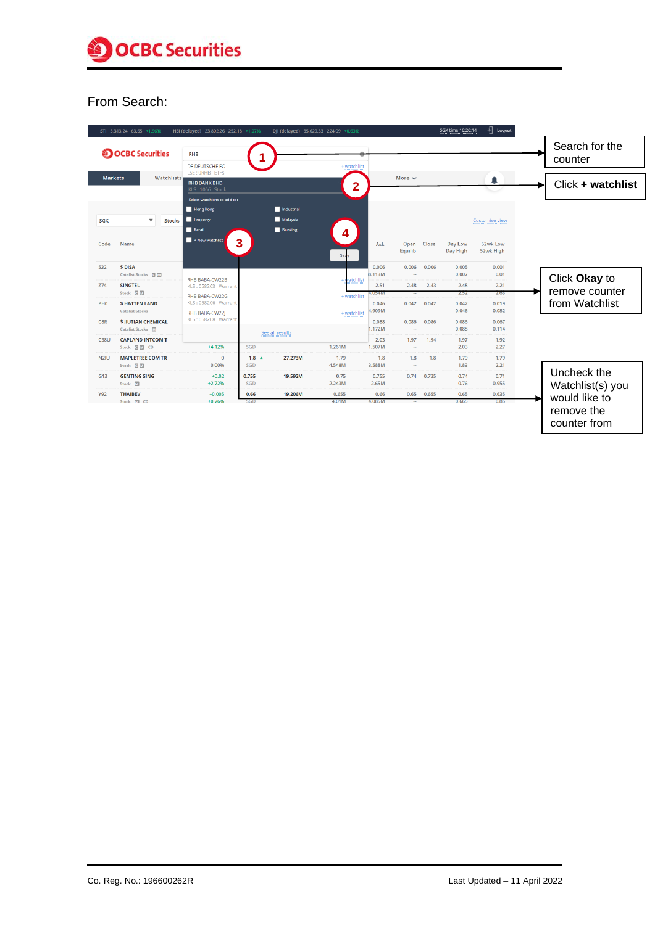

#### From Search:

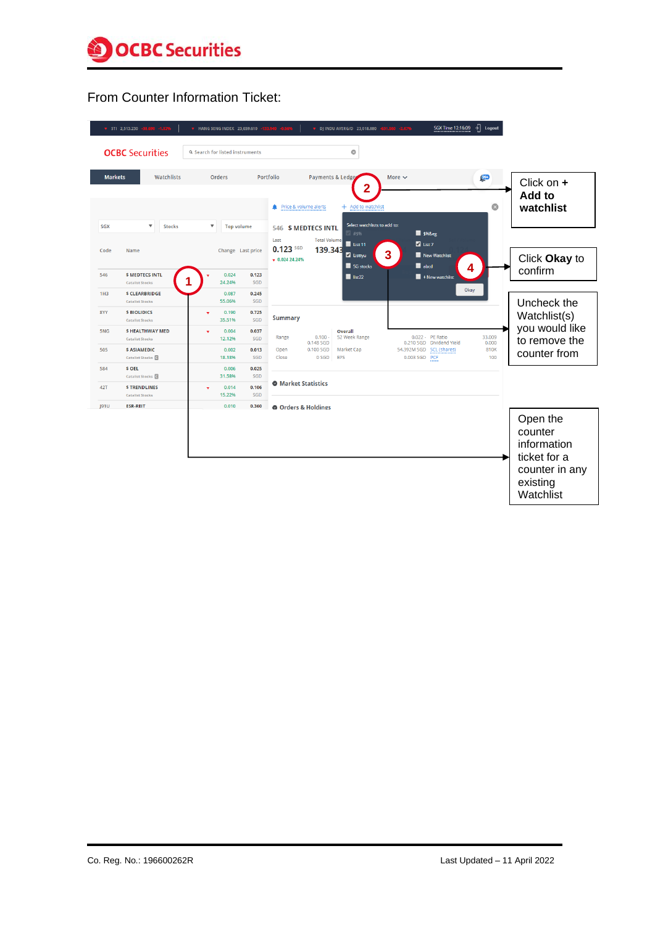

# From Counter Information Ticket:

|                           | STI 2,513.230 -38.690 -1.52%                                                                          | HANG SENG INDEX 23,659.610                                              | $\frac{1}{2}$ Logout<br>SGX Time 12:16:09<br>$-133.940 - 0.56%$<br>DJ INDU AVERG/D 23,018.880 - 631.560 - 2.67%                                                                                                                                                             |                                                                                               |
|---------------------------|-------------------------------------------------------------------------------------------------------|-------------------------------------------------------------------------|-----------------------------------------------------------------------------------------------------------------------------------------------------------------------------------------------------------------------------------------------------------------------------|-----------------------------------------------------------------------------------------------|
|                           | <b>OCBC</b> Securities                                                                                | Q Search for listed instruments                                         | $\circ$                                                                                                                                                                                                                                                                     |                                                                                               |
| <b>Markets</b>            | Watchlists                                                                                            | Orders                                                                  | Portfolio<br>$\frac{99+}{2}$<br>Payments & Ledge<br>More $\sim$<br>2<br>$\odot$<br>Price & volume alerts<br>+ Add to watchlist                                                                                                                                              | Click on $+$<br>Add to<br>watchlist                                                           |
| <b>SGX</b><br>Code        | $\blacktriangledown$<br><b>Stocks</b><br><b>Name</b>                                                  | $\blacktriangledown$<br><b>Top volume</b><br>Change Last price          | Select watchlists to add to:<br><b>\$ MEDTECS INTL</b><br>546<br>$\blacksquare$ \$%⪚<br>$+5%$<br><b>Total Volume</b><br>Last<br>List 11<br>$\blacksquare$ List 7<br>$0.123$ SGD<br>139.343<br>3<br>Z Listtyu<br>New Watchlist<br>$\times$ 0.024 24.24%<br>abcd<br>SG stocks | Click Okay to                                                                                 |
| 546                       | <b>S MEDTECS INTL</b><br><b>Catalist Stocks</b>                                                       | 0.024<br>0.123<br>24.24%<br>SGD                                         | 4<br>$\blacksquare$ list22<br>$+$ New watchlist<br>Okay                                                                                                                                                                                                                     | confirm                                                                                       |
| 1H <sub>3</sub><br>8YY    | <b>S CLEARBRIDGE</b><br><b>Catalist Stocks</b><br><b>S BIOLIDICS</b><br><b>Catalist Stocks</b>        | 0.087<br>0.245<br>55.06%<br>SGD<br>0.190<br>0.725<br>v<br>SGD<br>35.51% | <b>Summary</b>                                                                                                                                                                                                                                                              | Uncheck the<br>Watchlist(s)                                                                   |
| 5NG<br>505                | <b>SHEALTHWAY MED</b><br><b>Catalist Stocks</b><br><b>S ASIAMEDIC</b><br>Catalist Stocks <sup>C</sup> | 0.037<br>0.004<br>12.12%<br>SGD<br>0.002<br>0.013<br>18.18%<br>SGD      | Overall<br>33.009<br>52 Week Range<br>0.022 - PE Ratio<br>$0.100 -$<br>Range<br>0.210 SGD Dividend Yield<br>0.000<br>0.148 SGD<br>0.100 SGD<br>54.392M SGD SCL (shares)<br>810K<br>Open<br>Market Cap<br>0 SGD<br>EPS<br>0.003 SGD PCF<br>100<br>Close                      | you would like<br>to remove the<br>counter from                                               |
| 584                       | <b>S OEL</b><br>Catalist Stocks <sup>C</sup>                                                          | 0.006<br>0.025<br>31.58%<br>SGD                                         | <b>O</b> Market Statistics                                                                                                                                                                                                                                                  |                                                                                               |
| <b>42T</b><br><b>J91U</b> | <b>STRENDLINES</b><br><b>Catalist Stocks</b><br><b>ESR-REIT</b>                                       | 0.014<br>0.106<br>٠<br>15.22%<br>SGD<br>0.010<br>0.360                  | <b>O</b> Orders & Holdings                                                                                                                                                                                                                                                  |                                                                                               |
|                           |                                                                                                       |                                                                         |                                                                                                                                                                                                                                                                             | Open the<br>counter<br>information<br>ticket for a<br>counter in any<br>existing<br>Watchlist |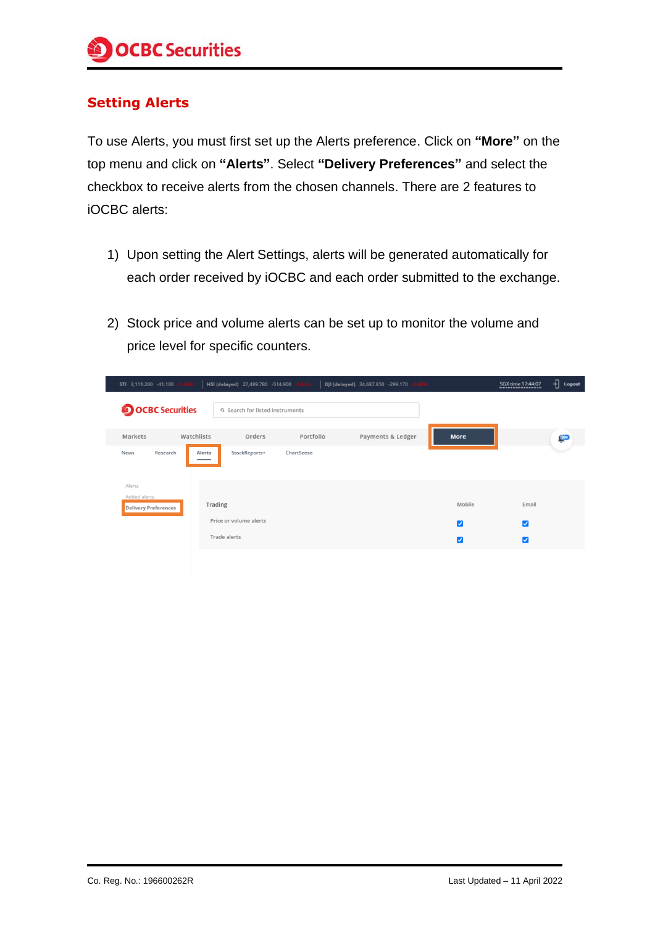## **Setting Alerts**

To use Alerts, you must first set up the Alerts preference. Click on **"More"** on the top menu and click on **"Alerts"**. Select **"Delivery Preferences"** and select the checkbox to receive alerts from the chosen channels. There are 2 features to iOCBC alerts:

- 1) Upon setting the Alert Settings, alerts will be generated automatically for each order received by iOCBC and each order submitted to the exchange.
- 2) Stock price and volume alerts can be set up to monitor the volume and price level for specific counters.

| STI 3,111.200 -41.100 -1.30%                          | HSI (delayed) 27,489.780 -514.900 -1.84% |            | $-0.8696$<br>DJI (delayed) 34,687.850 -299.170 |        | SGX time 17:44:07<br> | $\frac{1}{2}$ Logout |  |  |  |
|-------------------------------------------------------|------------------------------------------|------------|------------------------------------------------|--------|-----------------------|----------------------|--|--|--|
| <b>OCBC</b> Securities                                | Q Search for listed instruments          |            |                                                |        |                       |                      |  |  |  |
| Markets<br>Watchlists                                 | Orders                                   | Portfolio  | Payments & Ledger                              | More   |                       | $99+$                |  |  |  |
| Research<br>News                                      | Alerts<br>StockReports+                  | ChartSense |                                                |        |                       |                      |  |  |  |
| Alerts<br>Added alerts<br><b>Delivery Preferences</b> | Trading                                  |            |                                                | Mobile | Email                 |                      |  |  |  |
|                                                       | Price or volume alerts<br>Trade alerts   |            |                                                | Ø      | $\blacktriangledown$  |                      |  |  |  |
|                                                       |                                          |            |                                                | ☑      | ☑                     |                      |  |  |  |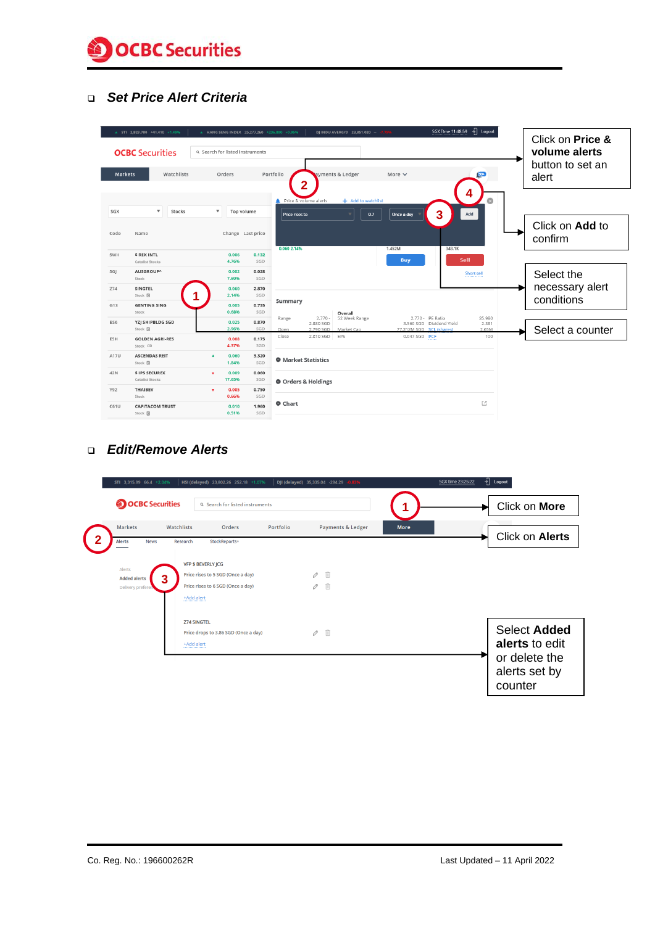

#### ❑ *Set Price Alert Criteria*

|                | ▲ STI 2,823.780 +41.410 +1.49%              | A HANG SENG INDEX 25,277.260 +236.800 +0.95%                 |              |                                                             | DJ INDU AVERG/D 23,851.020 - - 7.79%     |                                                                          | री<br>SGX Time 11:48:59<br>Logout |                                                       |
|----------------|---------------------------------------------|--------------------------------------------------------------|--------------|-------------------------------------------------------------|------------------------------------------|--------------------------------------------------------------------------|-----------------------------------|-------------------------------------------------------|
|                | <b>OCBC</b> Securities                      | Q Search for listed instruments                              |              |                                                             |                                          |                                                                          |                                   | Click on Price &<br>volume alerts<br>button to set an |
| <b>Markets</b> | Watchlists                                  | Orders                                                       |              | Portfolio                                                   | ayments & Ledger                         | More $\vee$                                                              | $99+$                             | alert                                                 |
| SGX<br>Code    | $\boldsymbol{\mathrm{v}}$<br>Stocks<br>Name | $\boldsymbol{\mathrm{v}}$<br>Top volume<br>Change Last price |              | 2<br>Price & volume alerts<br>Price rises to<br>0.060 2.14% | + Add to watchlist<br>0.7                | 3<br>Once a day<br>1.452M                                                | 4<br>ධ<br>Add<br>343.1K           | Click on <b>Add</b> to<br>confirm                     |
| 5WH            | <b>\$ REX INTL</b>                          | 0.006<br>4.76%                                               | 0.132<br>SGD |                                                             |                                          | <b>Buy</b>                                                               | Sell                              |                                                       |
| 5GJ            | Catalist Stocks<br>AUSGROUP^<br>Stock       | 0.002<br>7.69%                                               | 0.028<br>SGD |                                                             |                                          |                                                                          | Short sell<br>                    | Select the                                            |
| Z74            | <b>SINGTEL</b><br>Stock @                   | 0.060<br>2.14%                                               | 2.870<br>SGD |                                                             |                                          |                                                                          |                                   | necessary alert<br>conditions                         |
| G13            | <b>GENTING SING</b><br>Stock                | 0.005<br>0.68%                                               | 0.735<br>SGD | Summary                                                     | Overall                                  |                                                                          |                                   |                                                       |
| BS6            | YZJ SHIPBLDG SGD<br>Stock 回                 | 0.025<br>2.96%                                               | 0.870<br>SGD | Range<br>2.880 SGD<br>2.790 SGD<br>Open                     | $2.770 -$<br>52 Week Range<br>Market Cap | 2.770 - PE Ratio<br>3.560 SGD Dividend Yield<br>77.212M SGD SCL (shares) | 35,980<br>2.381<br>2.65M          | Select a counter                                      |
| E5H            | <b>GOLDEN AGRI-RES</b><br>Stock CD          | 0.008<br>4.37%                                               | 0.175<br>SGD | 2.810 SGD<br>Close                                          | EPS                                      | 0.047 SGD PCF                                                            | 100                               |                                                       |
| A17U           | <b>ASCENDAS REIT</b><br>Stock 日             | 0.060<br>$\blacktriangle$<br>1.84%                           | 3.320<br>SGD | <b>O</b> Market Statistics                                  |                                          |                                                                          |                                   |                                                       |
| 42N            | \$ IPS SECUREX<br><b>Catalist Stocks</b>    | 0.009<br>$\blacksquare$<br>17.65%                            | 0.060<br>SGD | O Orders & Holdings                                         |                                          |                                                                          |                                   |                                                       |
| Y92            | <b>THAIBEV</b><br>Stock                     | 0.005<br>$\bullet$<br>0.66%                                  | 0.750<br>SGD |                                                             |                                          |                                                                          |                                   |                                                       |
| C61U           | <b>CAPITACOM TRUST</b><br>Stock 回           | 0.010<br>0.51%                                               | 1.960<br>SGD | Chart                                                       |                                          |                                                                          | Ľ                                 |                                                       |

#### ❑ *Edit/Remove Alerts*

| STI 3,315.99 66.4 +2.04%                              | HSI (delayed) 23,802.26 252.18 +1.07%                                                                                  |           | DJI (delayed) 35,335.04 -294.29 -0.83% | ᆌ<br>SGX time 23:25:22<br>Logout                                                   |
|-------------------------------------------------------|------------------------------------------------------------------------------------------------------------------------|-----------|----------------------------------------|------------------------------------------------------------------------------------|
| <b>OCBC</b> Securities                                | <b>Q</b> Search for listed instruments                                                                                 |           |                                        | Click on More                                                                      |
| <b>Markets</b><br><b>Alerts</b><br><b>News</b>        | Watchlists<br>Orders<br>StockReports+<br>Research                                                                      | Portfolio | <b>Payments &amp; Ledger</b>           | <b>More</b><br>Click on Alerts                                                     |
| Alerts<br>З<br><b>Added alerts</b><br>Delivery prefer | <b>VFP \$ BEVERLY JCG</b><br>Price rises to 5 SGD (Once a day)<br>Price rises to 6 SGD (Once a day)<br>+Add alert<br>. |           | 面<br>0<br>面<br>0                       |                                                                                    |
|                                                       | <b>Z74 SINGTEL</b><br>Price drops to 3.86 SGD (Once a day)<br>+Add alert<br>                                           |           | 面<br>$\mathscr O$                      | <b>Select Added</b><br>alerts to edit<br>or delete the<br>alerts set by<br>counter |